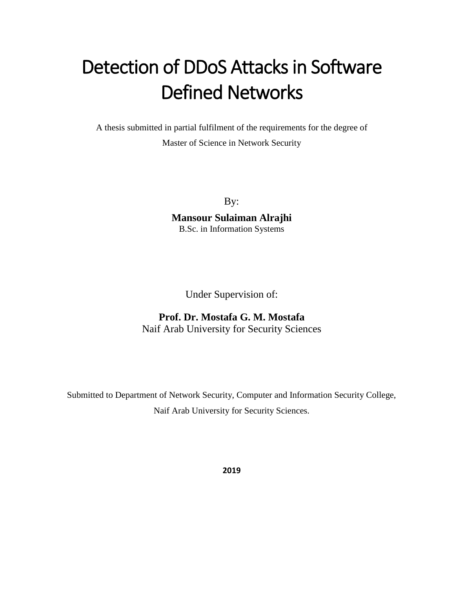# Detection of DDoS Attacks in Software Defined Networks

A thesis submitted in partial fulfilment of the requirements for the degree of Master of Science in Network Security

By:

**Mansour Sulaiman Alrajhi** B.Sc. in Information Systems

Under Supervision of:

#### **Prof. Dr. Mostafa G. M. Mostafa** Naif Arab University for Security Sciences

Submitted to Department of Network Security, Computer and Information Security College, Naif Arab University for Security Sciences.

**2019**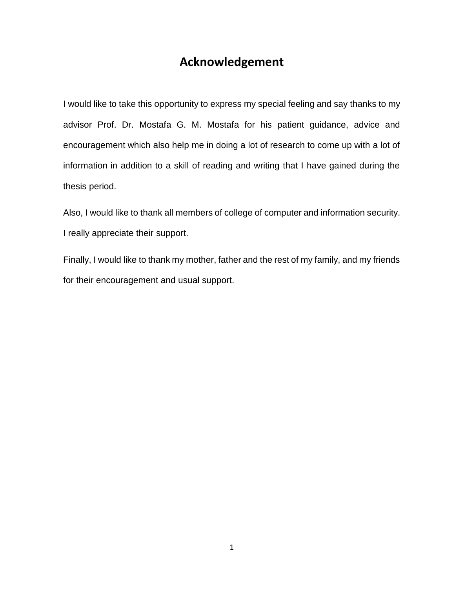#### **Acknowledgement**

I would like to take this opportunity to express my special feeling and say thanks to my advisor Prof. Dr. Mostafa G. M. Mostafa for his patient guidance, advice and encouragement which also help me in doing a lot of research to come up with a lot of information in addition to a skill of reading and writing that I have gained during the thesis period.

Also, I would like to thank all members of college of computer and information security. I really appreciate their support.

Finally, I would like to thank my mother, father and the rest of my family, and my friends for their encouragement and usual support.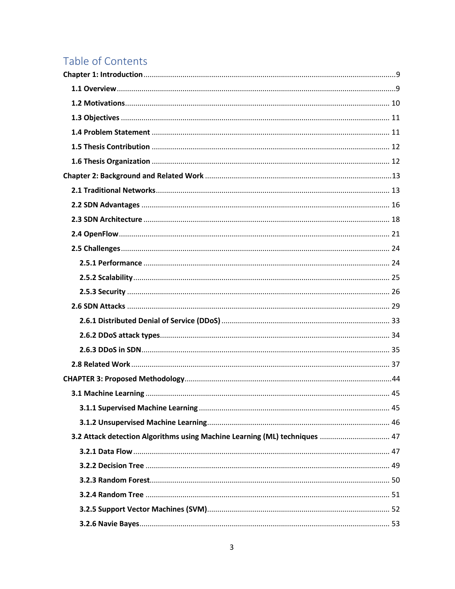# Table of Contents

| 3.2 Attack detection Algorithms using Machine Learning (ML) techniques  47 |  |
|----------------------------------------------------------------------------|--|
|                                                                            |  |
|                                                                            |  |
|                                                                            |  |
|                                                                            |  |
|                                                                            |  |
|                                                                            |  |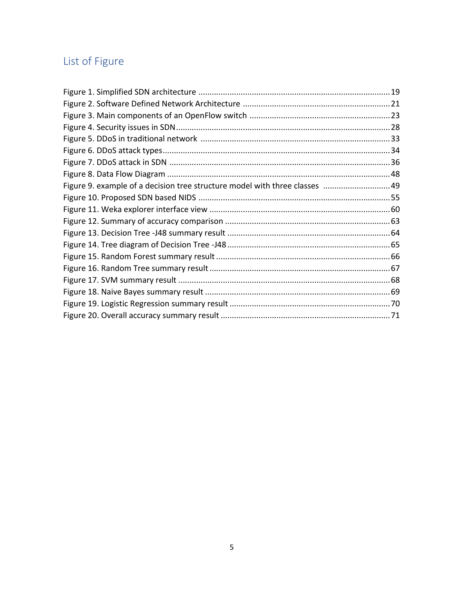# List of Figure

| Figure 9. example of a decision tree structure model with three classes  49 |  |
|-----------------------------------------------------------------------------|--|
|                                                                             |  |
|                                                                             |  |
|                                                                             |  |
|                                                                             |  |
|                                                                             |  |
|                                                                             |  |
|                                                                             |  |
|                                                                             |  |
|                                                                             |  |
|                                                                             |  |
|                                                                             |  |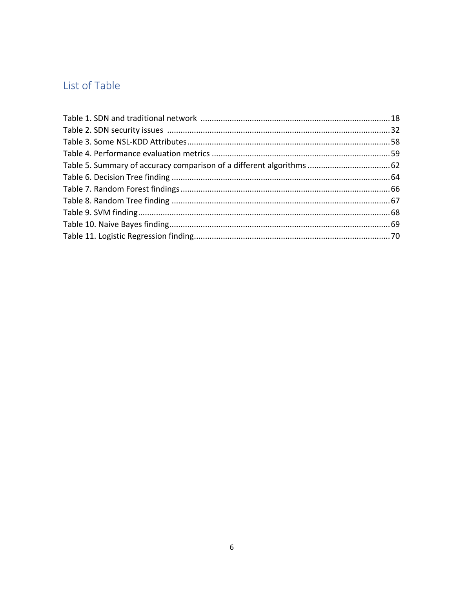### List of Table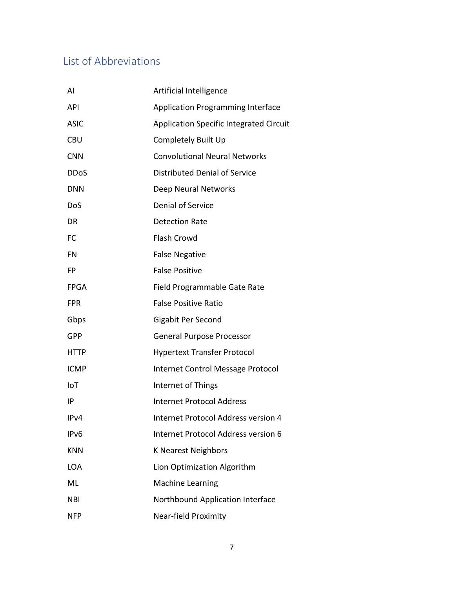## List of Abbreviations

| AI          | Artificial Intelligence                        |
|-------------|------------------------------------------------|
| <b>API</b>  | <b>Application Programming Interface</b>       |
| <b>ASIC</b> | <b>Application Specific Integrated Circuit</b> |
| <b>CBU</b>  | Completely Built Up                            |
| <b>CNN</b>  | <b>Convolutional Neural Networks</b>           |
| <b>DDoS</b> | Distributed Denial of Service                  |
| <b>DNN</b>  | Deep Neural Networks                           |
| DoS         | Denial of Service                              |
| DR          | <b>Detection Rate</b>                          |
| FC          | <b>Flash Crowd</b>                             |
| FN          | <b>False Negative</b>                          |
| FP          | <b>False Positive</b>                          |
| <b>FPGA</b> | Field Programmable Gate Rate                   |
| <b>FPR</b>  | <b>False Positive Ratio</b>                    |
| Gbps        | Gigabit Per Second                             |
| <b>GPP</b>  | <b>General Purpose Processor</b>               |
| <b>HTTP</b> | <b>Hypertext Transfer Protocol</b>             |
| <b>ICMP</b> | Internet Control Message Protocol              |
| IoT         | Internet of Things                             |
| IP          | <b>Internet Protocol Address</b>               |
| IPv4        | Internet Protocol Address version 4            |
| IPv6        | Internet Protocol Address version 6            |
| <b>KNN</b>  | <b>K Nearest Neighbors</b>                     |
| <b>LOA</b>  | Lion Optimization Algorithm                    |
| ML          | <b>Machine Learning</b>                        |
| <b>NBI</b>  | Northbound Application Interface               |
| <b>NFP</b>  | Near-field Proximity                           |
|             |                                                |